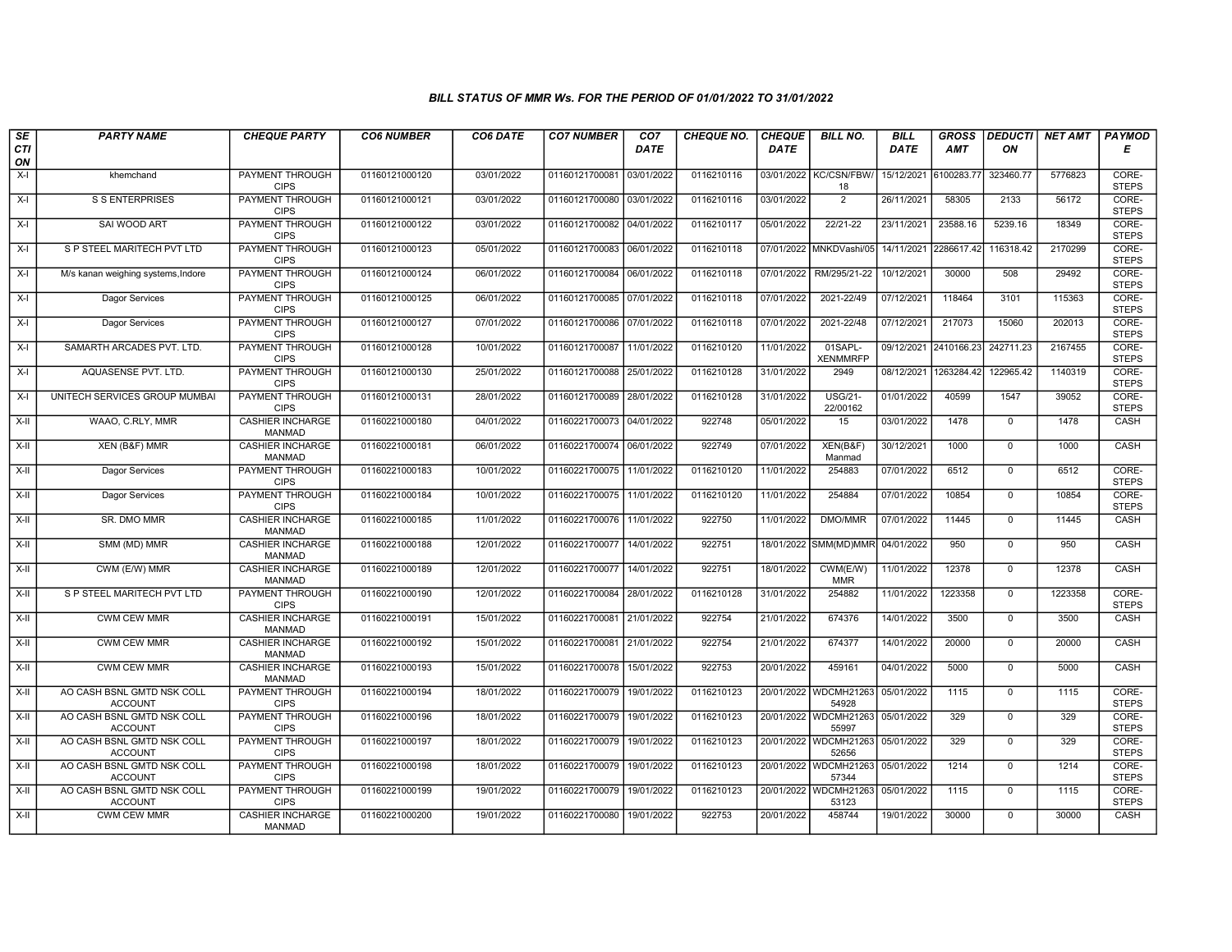## BILL STATUS OF MMR Ws. FOR THE PERIOD OF 01/01/2022 TO 31/01/2022

| SE        | <b>PARTY NAME</b>                            | <b>CHEQUE PARTY</b>                      | <b>CO6 NUMBER</b> | CO6 DATE   | <b>CO7 NUMBER</b>         | CO <sub>7</sub> | <b>CHEQUE NO.</b> | <b>CHEQUE</b> | <b>BILL NO.</b>                | <b>BILL</b> | <b>GROSS</b>          | <b>DEDUCTI</b> | NET AMT | <b>PAYMOD</b>         |
|-----------|----------------------------------------------|------------------------------------------|-------------------|------------|---------------------------|-----------------|-------------------|---------------|--------------------------------|-------------|-----------------------|----------------|---------|-----------------------|
| CTI<br>ON |                                              |                                          |                   |            |                           | <b>DATE</b>     |                   | <b>DATE</b>   |                                | DATE        | AMT                   | ON             |         | Е                     |
| $X-I$     | khemchand                                    | <b>PAYMENT THROUGH</b><br><b>CIPS</b>    | 01160121000120    | 03/01/2022 | 01160121700081 03/01/2022 |                 | 0116210116        |               | 03/01/2022 KC/CSN/FBW/<br>18   | 15/12/2021  | 6100283.77            | 323460.77      | 5776823 | CORE-<br><b>STEPS</b> |
| $X-I$     | <b>S S ENTERPRISES</b>                       | <b>PAYMENT THROUGH</b><br><b>CIPS</b>    | 01160121000121    | 03/01/2022 | 01160121700080 03/01/2022 |                 | 0116210116        | 03/01/2022    | $\overline{2}$                 | 26/11/2021  | 58305                 | 2133           | 56172   | CORE-<br><b>STEPS</b> |
| $X-I$     | SAI WOOD ART                                 | PAYMENT THROUGH<br><b>CIPS</b>           | 01160121000122    | 03/01/2022 | 01160121700082            | 04/01/2022      | 0116210117        | 05/01/2022    | 22/21-22                       | 23/11/2021  | 23588.16              | 5239.16        | 18349   | CORE-<br><b>STEPS</b> |
| $X-I$     | S P STEEL MARITECH PVT LTD                   | PAYMENT THROUGH<br><b>CIPS</b>           | 01160121000123    | 05/01/2022 | 01160121700083            | 06/01/2022      | 0116210118        | 07/01/2022    | MNKDVashi/05                   | 14/11/2021  | 2286617.4             | 116318.42      | 2170299 | CORE-<br><b>STEPS</b> |
| $X-I$     | M/s kanan weighing systems, Indore           | <b>PAYMENT THROUGH</b><br><b>CIPS</b>    | 01160121000124    | 06/01/2022 | 01160121700084 06/01/2022 |                 | 0116210118        | 07/01/2022    | RM/295/21-22                   | 10/12/2021  | 30000                 | 508            | 29492   | CORE-<br><b>STEPS</b> |
| $X-I$     | Dagor Services                               | <b>PAYMENT THROUGH</b><br><b>CIPS</b>    | 01160121000125    | 06/01/2022 | 01160121700085 07/01/2022 |                 | 0116210118        | 07/01/2022    | 2021-22/49                     | 07/12/2021  | 118464                | 3101           | 115363  | CORE-<br><b>STEPS</b> |
| $X-I$     | Dagor Services                               | PAYMENT THROUGH<br><b>CIPS</b>           | 01160121000127    | 07/01/2022 | 01160121700086 07/01/2022 |                 | 0116210118        | 07/01/2022    | 2021-22/48                     | 07/12/2021  | 217073                | 15060          | 202013  | CORE-<br><b>STEPS</b> |
| $X-I$     | SAMARTH ARCADES PVT. LTD.                    | <b>PAYMENT THROUGH</b><br><b>CIPS</b>    | 01160121000128    | 10/01/2022 | 01160121700087            | 11/01/2022      | 0116210120        | 11/01/2022    | 01SAPL-<br><b>XENMMRFP</b>     |             | 09/12/2021 2410166.23 | 242711.23      | 2167455 | CORE-<br><b>STEPS</b> |
| $X-I$     | AQUASENSE PVT. LTD.                          | <b>PAYMENT THROUGH</b><br><b>CIPS</b>    | 01160121000130    | 25/01/2022 | 01160121700088 25/01/2022 |                 | 0116210128        | 31/01/2022    | 2949                           | 08/12/2021  | 1263284.42            | 122965.42      | 1140319 | CORE-<br><b>STEPS</b> |
| $X-I$     | UNITECH SERVICES GROUP MUMBAI                | <b>PAYMENT THROUGH</b><br><b>CIPS</b>    | 01160121000131    | 28/01/2022 | 01160121700089 28/01/2022 |                 | 0116210128        | 31/01/2022    | <b>USG/21-</b><br>22/00162     | 01/01/2022  | 40599                 | 1547           | 39052   | CORE-<br><b>STEPS</b> |
| X-II      | WAAO, C.RLY, MMR                             | <b>CASHIER INCHARGE</b><br><b>MANMAD</b> | 01160221000180    | 04/01/2022 | 01160221700073 04/01/2022 |                 | 922748            | 05/01/2022    | 15                             | 03/01/2022  | 1478                  | $\mathbf{0}$   | 1478    | CASH                  |
| X-II      | XEN (B&F) MMR                                | <b>CASHIER INCHARGE</b><br><b>MANMAD</b> | 01160221000181    | 06/01/2022 | 01160221700074 06/01/2022 |                 | 922749            | 07/01/2022    | XEN(B&F)<br>Manmad             | 30/12/2021  | 1000                  | $\mathbf 0$    | 1000    | CASH                  |
| $X-H$     | Dagor Services                               | PAYMENT THROUGH<br><b>CIPS</b>           | 01160221000183    | 10/01/2022 | 01160221700075 11/01/2022 |                 | 0116210120        | 11/01/2022    | 254883                         | 07/01/2022  | 6512                  | $\overline{0}$ | 6512    | CORE-<br><b>STEPS</b> |
| X-II      | Dagor Services                               | <b>PAYMENT THROUGH</b><br><b>CIPS</b>    | 01160221000184    | 10/01/2022 | 01160221700075 11/01/2022 |                 | 0116210120        | 11/01/2022    | 254884                         | 07/01/2022  | 10854                 | $\mathbf{0}$   | 10854   | CORE-<br><b>STEPS</b> |
| X-II      | SR. DMO MMR                                  | <b>CASHIER INCHARGE</b><br><b>MANMAD</b> | 01160221000185    | 11/01/2022 | 01160221700076 11/01/2022 |                 | 922750            | 11/01/2022    | DMO/MMR                        | 07/01/2022  | 11445                 | $\Omega$       | 11445   | CASH                  |
| X-II      | SMM (MD) MMR                                 | <b>CASHIER INCHARGE</b><br><b>MANMAD</b> | 01160221000188    | 12/01/2022 | 01160221700077            | 14/01/2022      | 922751            | 18/01/2022    | SMM(MD)MMR                     | 04/01/2022  | 950                   | $\mathbf 0$    | 950     | CASH                  |
| X-II      | CWM (E/W) MMR                                | <b>CASHIER INCHARGE</b><br><b>MANMAD</b> | 01160221000189    | 12/01/2022 | 01160221700077            | 14/01/2022      | 922751            | 18/01/2022    | CWM(E/W)<br><b>MMR</b>         | 11/01/2022  | 12378                 | $\overline{0}$ | 12378   | CASH                  |
| X-II      | S P STEEL MARITECH PVT LTD                   | <b>PAYMENT THROUGH</b><br><b>CIPS</b>    | 01160221000190    | 12/01/2022 | 01160221700084 28/01/2022 |                 | 0116210128        | 31/01/2022    | 254882                         | 11/01/2022  | 1223358               | $\mathbf 0$    | 1223358 | CORE-<br><b>STEPS</b> |
| $X-H$     | <b>CWM CEW MMR</b>                           | <b>CASHIER INCHARGE</b><br><b>MANMAD</b> | 01160221000191    | 15/01/2022 | 01160221700081            | 21/01/2022      | 922754            | 21/01/2022    | 674376                         | 14/01/2022  | 3500                  | $\mathbf 0$    | 3500    | CASH                  |
| X-II      | CWM CEW MMR                                  | <b>CASHIER INCHARGE</b><br><b>MANMAD</b> | 01160221000192    | 15/01/2022 | 01160221700081 21/01/2022 |                 | 922754            | 21/01/2022    | 674377                         | 14/01/2022  | 20000                 | $\Omega$       | 20000   | CASH                  |
| X-II      | <b>CWM CEW MMR</b>                           | <b>CASHIER INCHARGE</b><br><b>MANMAD</b> | 01160221000193    | 15/01/2022 | 01160221700078 15/01/2022 |                 | 922753            | 20/01/2022    | 459161                         | 04/01/2022  | 5000                  | $\mathbf{0}$   | 5000    | CASH                  |
| $X-H$     | AO CASH BSNL GMTD NSK COLL<br><b>ACCOUNT</b> | <b>PAYMENT THROUGH</b><br><b>CIPS</b>    | 01160221000194    | 18/01/2022 | 01160221700079 19/01/2022 |                 | 0116210123        |               | 20/01/2022 WDCMH21263<br>54928 | 05/01/2022  | 1115                  | $\Omega$       | 1115    | CORE-<br><b>STEPS</b> |
| $X-II$    | AO CASH BSNL GMTD NSK COLL<br><b>ACCOUNT</b> | PAYMENT THROUGH<br><b>CIPS</b>           | 01160221000196    | 18/01/2022 | 01160221700079            | 19/01/2022      | 0116210123        |               | 20/01/2022 WDCMH21263<br>55997 | 05/01/2022  | 329                   | $\mathbf 0$    | 329     | CORE-<br><b>STEPS</b> |
| $X-H$     | AO CASH BSNL GMTD NSK COLL<br><b>ACCOUNT</b> | PAYMENT THROUGH<br><b>CIPS</b>           | 01160221000197    | 18/01/2022 | 01160221700079            | 19/01/2022      | 0116210123        |               | 20/01/2022 WDCMH21263<br>52656 | 05/01/2022  | 329                   | $\Omega$       | 329     | CORE-<br><b>STEPS</b> |
| $X-II$    | AO CASH BSNL GMTD NSK COLL<br><b>ACCOUNT</b> | PAYMENT THROUGH<br><b>CIPS</b>           | 01160221000198    | 18/01/2022 | 01160221700079            | 19/01/2022      | 0116210123        |               | 20/01/2022 WDCMH21263<br>57344 | 05/01/2022  | 1214                  | $\mathbf 0$    | 1214    | CORE-<br><b>STEPS</b> |
| $X-H$     | AO CASH BSNL GMTD NSK COLL<br><b>ACCOUNT</b> | <b>PAYMENT THROUGH</b><br><b>CIPS</b>    | 01160221000199    | 19/01/2022 | 01160221700079            | 19/01/2022      | 0116210123        |               | 20/01/2022 WDCMH21263<br>53123 | 05/01/2022  | 1115                  | $\mathsf{O}$   | 1115    | CORE-<br><b>STEPS</b> |
| X-II      | <b>CWM CEW MMR</b>                           | <b>CASHIER INCHARGE</b><br><b>MANMAD</b> | 01160221000200    | 19/01/2022 | 01160221700080 19/01/2022 |                 | 922753            | 20/01/2022    | 458744                         | 19/01/2022  | 30000                 | $\mathbf 0$    | 30000   | CASH                  |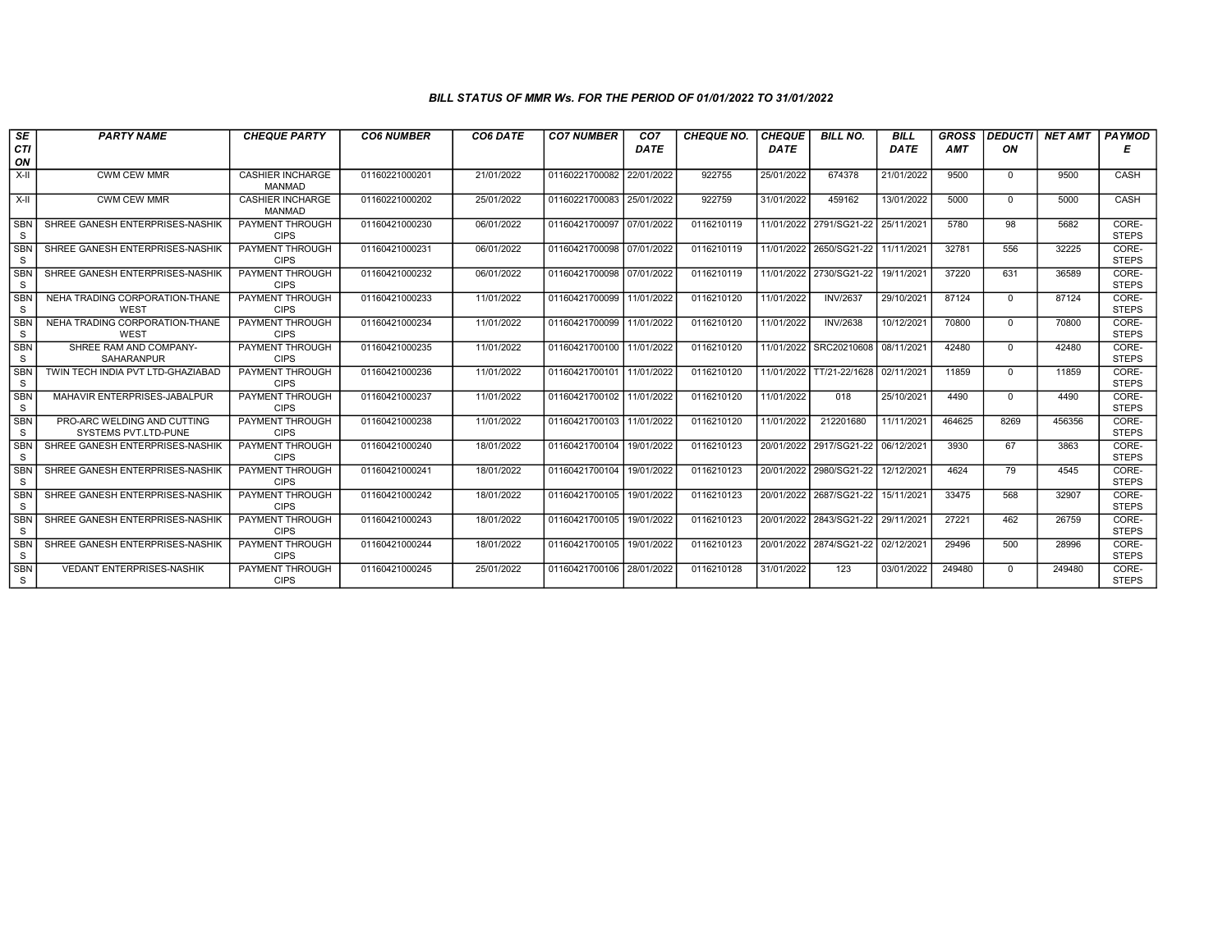## BILL STATUS OF MMR Ws. FOR THE PERIOD OF 01/01/2022 TO 31/01/2022

| $s_E$<br><b>CTI</b>        | <b>PARTY NAME</b>                                   | <b>CHEQUE PARTY</b>                      | <b>CO6 NUMBER</b> | CO6 DATE   | <b>CO7 NUMBER</b>         | CO <sub>7</sub><br>DATE | <b>CHEQUE NO.</b> | <b>CHEQUE</b><br>DATE | <b>BILL NO.</b>         | <b>BILL</b><br>DATE | <b>GROSS</b><br><b>AMT</b> | <b>DEDUCTI</b><br>ON | <b>NET AMT</b> | <b>PAYMOD</b><br>Е    |
|----------------------------|-----------------------------------------------------|------------------------------------------|-------------------|------------|---------------------------|-------------------------|-------------------|-----------------------|-------------------------|---------------------|----------------------------|----------------------|----------------|-----------------------|
| ON                         |                                                     |                                          |                   |            |                           |                         |                   |                       |                         |                     |                            |                      |                |                       |
| $X-H$                      | <b>CWM CEW MMR</b>                                  | <b>CASHIER INCHARGE</b><br><b>MANMAD</b> | 01160221000201    | 21/01/2022 | 01160221700082            | 22/01/2022              | 922755            | 25/01/2022            | 674378                  | 21/01/2022          | 9500                       | $\Omega$             | 9500           | CASH                  |
| $X-II$                     | <b>CWM CEW MMR</b>                                  | <b>CASHIER INCHARGE</b><br><b>MANMAD</b> | 01160221000202    | 25/01/2022 | 01160221700083 25/01/2022 |                         | 922759            | 31/01/2022            | 459162                  | 13/01/2022          | 5000                       | $\Omega$             | 5000           | CASH                  |
| <b>SBN</b><br>S            | SHREE GANESH ENTERPRISES-NASHIK                     | <b>PAYMENT THROUGH</b><br><b>CIPS</b>    | 01160421000230    | 06/01/2022 | 01160421700097            | 07/01/2022              | 0116210119        |                       | 11/01/2022 2791/SG21-22 | 25/11/2021          | 5780                       | 98                   | 5682           | CORE-<br><b>STEPS</b> |
| <b>SBN</b><br>S            | SHREE GANESH ENTERPRISES-NASHIK                     | <b>PAYMENT THROUGH</b><br><b>CIPS</b>    | 01160421000231    | 06/01/2022 | 01160421700098 07/01/2022 |                         | 0116210119        |                       | 11/01/2022 2650/SG21-22 | 11/11/2021          | 32781                      | 556                  | 32225          | CORE-<br><b>STEPS</b> |
| <b>SBN</b><br>S            | SHREE GANESH ENTERPRISES-NASHIK                     | <b>PAYMENT THROUGH</b><br><b>CIPS</b>    | 01160421000232    | 06/01/2022 | 01160421700098 07/01/2022 |                         | 0116210119        |                       | 11/01/2022 2730/SG21-22 | 19/11/2021          | 37220                      | 631                  | 36589          | CORE-<br><b>STEPS</b> |
| <b>SBN</b><br>S            | NEHA TRADING CORPORATION-THANE<br><b>WEST</b>       | <b>PAYMENT THROUGH</b><br><b>CIPS</b>    | 01160421000233    | 11/01/2022 | 01160421700099            | 11/01/2022              | 0116210120        | 11/01/2022            | <b>INV/2637</b>         | 29/10/2021          | 87124                      | $\Omega$             | 87124          | CORE-<br><b>STEPS</b> |
| <b>SBN</b><br>S            | NEHA TRADING CORPORATION-THANE<br>WEST              | PAYMENT THROUGH<br><b>CIPS</b>           | 01160421000234    | 11/01/2022 | 01160421700099            | 11/01/2022              | 0116210120        | 11/01/2022            | <b>INV/2638</b>         | 10/12/2021          | 70800                      | $\Omega$             | 70800          | CORE-<br><b>STEPS</b> |
| <b>SBN</b><br>S            | SHREE RAM AND COMPANY-<br><b>SAHARANPUR</b>         | PAYMENT THROUGH<br><b>CIPS</b>           | 01160421000235    | 11/01/2022 | 01160421700100            | 11/01/2022              | 0116210120        | 11/01/2022            | SRC20210608             | 08/11/2021          | 42480                      | $\Omega$             | 42480          | CORE-<br><b>STEPS</b> |
| <b>SBN</b><br>S            | TWIN TECH INDIA PVT LTD-GHAZIABAD                   | <b>PAYMENT THROUGH</b><br><b>CIPS</b>    | 01160421000236    | 11/01/2022 | 01160421700101            | 11/01/2022              | 0116210120        | 11/01/2022            | TT/21-22/1628           | 02/11/2021          | 11859                      | $\mathbf 0$          | 11859          | CORE-<br><b>STEPS</b> |
| <b>SBN</b><br>S.           | MAHAVIR ENTERPRISES-JABALPUR                        | <b>PAYMENT THROUGH</b><br><b>CIPS</b>    | 01160421000237    | 11/01/2022 | 01160421700102 11/01/2022 |                         | 0116210120        | 11/01/2022            | 018                     | 25/10/2021          | 4490                       | $\Omega$             | 4490           | CORE-<br><b>STEPS</b> |
| <b>SBN</b><br>S            | PRO-ARC WELDING AND CUTTING<br>SYSTEMS PVT.LTD-PUNE | PAYMENT THROUGH<br><b>CIPS</b>           | 01160421000238    | 11/01/2022 | 01160421700103 11/01/2022 |                         | 0116210120        | 11/01/2022            | 212201680               | 11/11/2021          | 464625                     | 8269                 | 456356         | CORE-<br><b>STEPS</b> |
| <b>SBN</b><br>S            | SHREE GANESH ENTERPRISES-NASHIK                     | <b>PAYMENT THROUGH</b><br><b>CIPS</b>    | 01160421000240    | 18/01/2022 | 01160421700104            | 19/01/2022              | 0116210123        | 20/01/2022            | 2917/SG21-22            | 06/12/2021          | 3930                       | 67                   | 3863           | CORE-<br><b>STEPS</b> |
| SBN<br>S                   | SHREE GANESH ENTERPRISES-NASHIK                     | <b>PAYMENT THROUGH</b><br><b>CIPS</b>    | 01160421000241    | 18/01/2022 | 01160421700104            | 19/01/2022              | 0116210123        |                       | 20/01/2022 2980/SG21-22 | 12/12/2021          | 4624                       | 79                   | 4545           | CORE-<br><b>STEPS</b> |
| <b>SBN</b><br><sub>S</sub> | SHREE GANESH ENTERPRISES-NASHIK                     | <b>PAYMENT THROUGH</b><br><b>CIPS</b>    | 01160421000242    | 18/01/2022 | 01160421700105            | 19/01/2022              | 0116210123        |                       | 20/01/2022 2687/SG21-22 | 15/11/2021          | 33475                      | 568                  | 32907          | CORE-<br><b>STEPS</b> |
| <b>SBN</b><br>S            | SHREE GANESH ENTERPRISES-NASHIK                     | <b>PAYMENT THROUGH</b><br><b>CIPS</b>    | 01160421000243    | 18/01/2022 | 01160421700105            | 19/01/2022              | 0116210123        |                       | 20/01/2022 2843/SG21-22 | 29/11/2021          | 27221                      | 462                  | 26759          | CORE-<br><b>STEPS</b> |
| <b>SBN</b><br>S            | SHREE GANESH ENTERPRISES-NASHIK                     | PAYMENT THROUGH<br><b>CIPS</b>           | 01160421000244    | 18/01/2022 | 01160421700105            | 19/01/2022              | 0116210123        |                       | 20/01/2022 2874/SG21-22 | 02/12/2021          | 29496                      | 500                  | 28996          | CORE-<br><b>STEPS</b> |
| <b>SBN</b><br>S            | <b>VEDANT ENTERPRISES-NASHIK</b>                    | <b>PAYMENT THROUGH</b><br><b>CIPS</b>    | 01160421000245    | 25/01/2022 | 01160421700106            | 28/01/2022              | 0116210128        | 31/01/2022            | 123                     | 03/01/2022          | 249480                     | $\Omega$             | 249480         | CORE-<br><b>STEPS</b> |